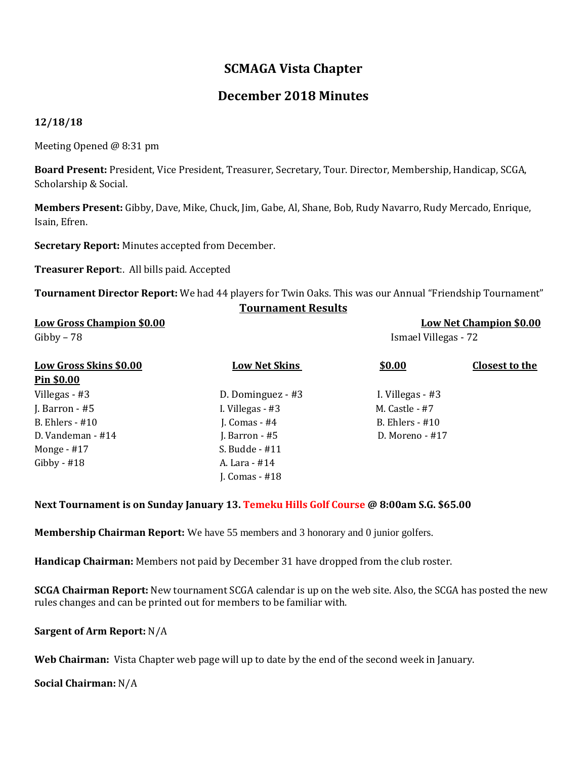# **SCMAGA Vista Chapter**

## **December 2018 Minutes**

### **12/18/18**

Meeting Opened @ 8:31 pm

**Board Present:** President, Vice President, Treasurer, Secretary, Tour. Director, Membership, Handicap, SCGA, Scholarship & Social.

**Members Present:** Gibby, Dave, Mike, Chuck, Jim, Gabe, Al, Shane, Bob, Rudy Navarro, Rudy Mercado, Enrique, Isain, Efren.

**Secretary Report:** Minutes accepted from December.

**Treasurer Report**:. All bills paid. Accepted

**Tournament Director Report:** We had 44 players for Twin Oaks. This was our Annual "Friendship Tournament" **Tournament Results**

| <b>Low Gross Champion \$0.00</b><br>$Gibby - 78$ |                      | <b>Low Net Champion \$0.00</b><br>Ismael Villegas - 72 |                |
|--------------------------------------------------|----------------------|--------------------------------------------------------|----------------|
| <b>Low Gross Skins \$0.00</b>                    | <b>Low Net Skins</b> | \$0.00                                                 | Closest to the |
| <u>Pin \$0.00</u>                                |                      |                                                        |                |
| Villegas - #3                                    | D. Dominguez - #3    | I. Villegas - #3                                       |                |
| J. Barron - $#5$                                 | I. Villegas - #3     | M. Castle - #7                                         |                |
| B. Ehlers - $\#10$                               | J. Comas - $#4$      | B. Ehlers $-$ #10                                      |                |
| D. Vandeman - #14                                | J. Barron - $#5$     | $D.$ Moreno - #17                                      |                |
| Monge $-$ #17                                    | S. Budde $-$ #11     |                                                        |                |
| Gibby - $#18$                                    | A. Lara - #14        |                                                        |                |
|                                                  | J. Comas - $#18$     |                                                        |                |

**Next Tournament is on Sunday January 13. Temeku Hills Golf Course @ 8:00am S.G. \$65.00**

**Membership Chairman Report:** We have 55 members and 3 honorary and 0 junior golfers.

**Handicap Chairman:** Members not paid by December 31 have dropped from the club roster.

**SCGA Chairman Report:** New tournament SCGA calendar is up on the web site. Also, the SCGA has posted the new rules changes and can be printed out for members to be familiar with.

**Sargent of Arm Report:** N/A

**Web Chairman:** Vista Chapter web page will up to date by the end of the second week in January.

**Social Chairman:** N/A